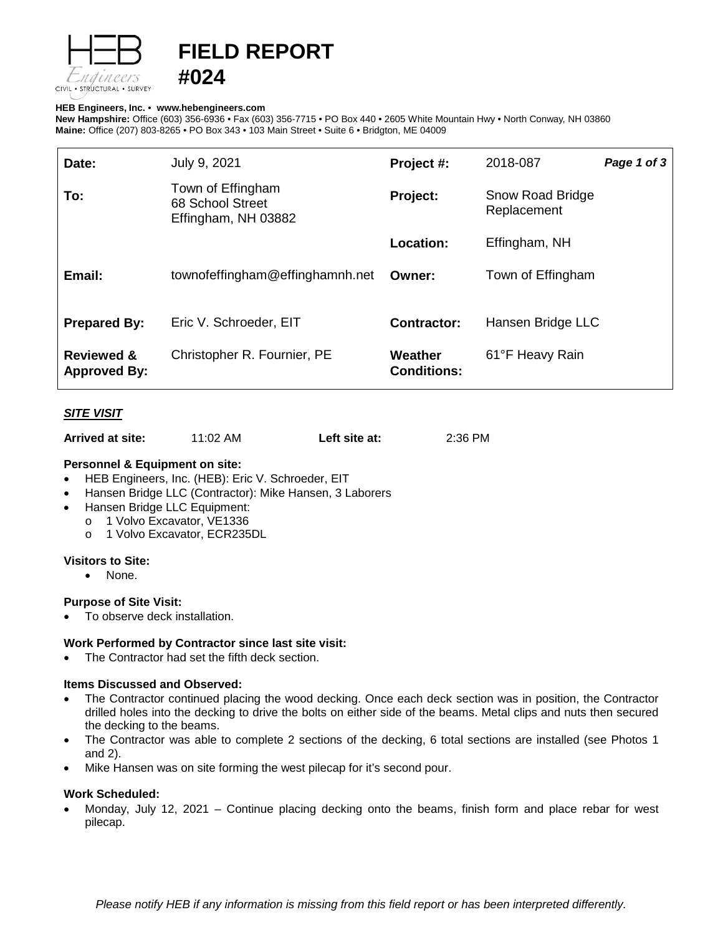

# **FIELD REPORT**

#### **HEB Engineers, Inc.** • **[www.hebengineer](http://www.hebengineers.com/)s.com**

**#024**

**New Hampshire:** Office (603) 356-6936 • Fax (603) 356-7715 • PO Box 440 • 2605 White Mountain Hwy • North Conway, NH 03860 **Maine:** Office (207) 803-8265 • PO Box 343 • 103 Main Street • Suite 6 • Bridgton, ME 04009

| Date:                                        | July 9, 2021                                                 | Project #:                    | 2018-087                               | Page 1 of 3 |
|----------------------------------------------|--------------------------------------------------------------|-------------------------------|----------------------------------------|-------------|
| To:                                          | Town of Effingham<br>68 School Street<br>Effingham, NH 03882 | Project:                      | <b>Snow Road Bridge</b><br>Replacement |             |
|                                              |                                                              | Location:                     | Effingham, NH                          |             |
| Email:                                       | townofeffingham@effinghamnh.net                              | Owner:                        | Town of Effingham                      |             |
| <b>Prepared By:</b>                          | Eric V. Schroeder, EIT                                       | <b>Contractor:</b>            | Hansen Bridge LLC                      |             |
| <b>Reviewed &amp;</b><br><b>Approved By:</b> | Christopher R. Fournier, PE                                  | Weather<br><b>Conditions:</b> | 61°F Heavy Rain                        |             |

# *SITE VISIT*

| 11:02 AM<br>Arrived at site: | Left site at: | 2:36 PM |
|------------------------------|---------------|---------|
|------------------------------|---------------|---------|

## **Personnel & Equipment on site:**

- HEB Engineers, Inc. (HEB): Eric V. Schroeder, EIT
- Hansen Bridge LLC (Contractor): Mike Hansen, 3 Laborers
- Hansen Bridge LLC Equipment:
	- o 1 Volvo Excavator, VE1336
	- o 1 Volvo Excavator, ECR235DL

## **Visitors to Site:**

• None.

## **Purpose of Site Visit:**

To observe deck installation.

## **Work Performed by Contractor since last site visit:**

The Contractor had set the fifth deck section.

## **Items Discussed and Observed:**

- The Contractor continued placing the wood decking. Once each deck section was in position, the Contractor drilled holes into the decking to drive the bolts on either side of the beams. Metal clips and nuts then secured the decking to the beams.
- The Contractor was able to complete 2 sections of the decking, 6 total sections are installed (see Photos 1 and 2).
- Mike Hansen was on site forming the west pilecap for it's second pour.

## **Work Scheduled:**

• Monday, July 12, 2021 – Continue placing decking onto the beams, finish form and place rebar for west pilecap.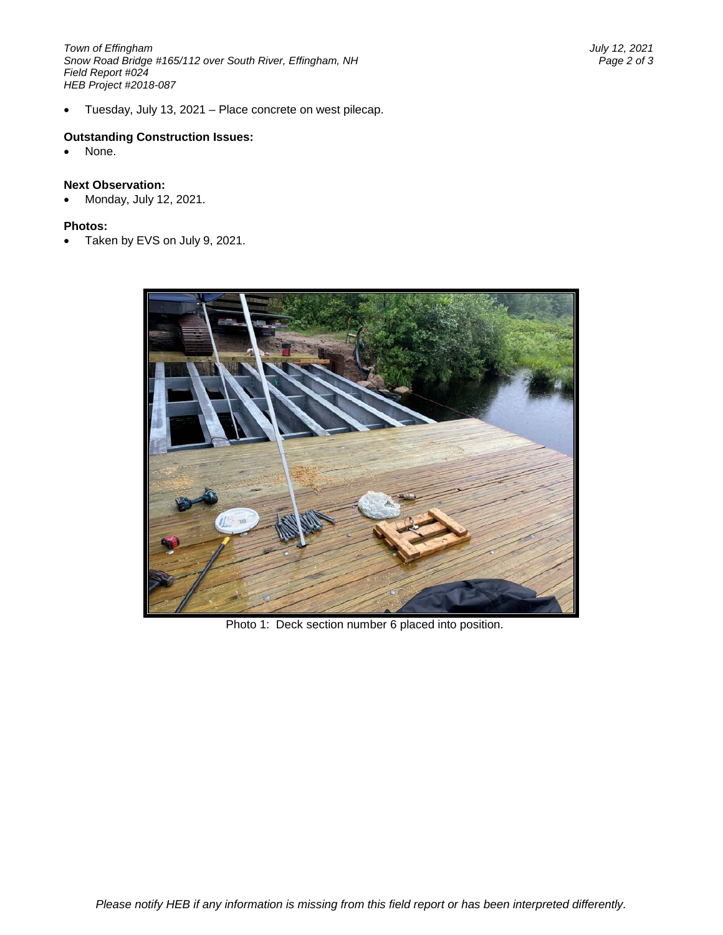*Town of Effingham July 12, 2021 Snow Road Bridge #165/112 over South River, Effingham, NH Field Report #024 HEB Project #2018-087*

• Tuesday, July 13, 2021 – Place concrete on west pilecap.

## **Outstanding Construction Issues:**

None.

#### **Next Observation:**

• Monday, July 12, 2021.

#### **Photos:**

• Taken by EVS on July 9, 2021.



Photo 1: Deck section number 6 placed into position.